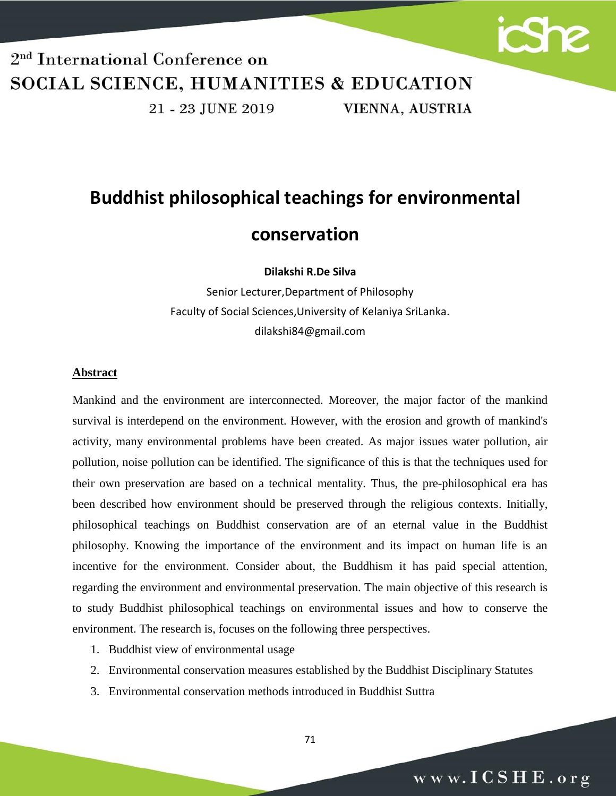

2<sup>nd</sup> International Conference on SOCIAL SCIENCE, HUMANITIES & EDUCATION 21 - 23 JUNE 2019 VIENNA, AUSTRIA

# **Buddhist philosophical teachings for environmental**

### **conservation**

**Dilakshi R.De Silva**

Senior Lecturer,Department of Philosophy Faculty of Social Sciences,University of Kelaniya SriLanka. dilakshi84@gmail.com

### **Abstract**

Mankind and the environment are interconnected. Moreover, the major factor of the mankind survival is interdepend on the environment. However, with the erosion and growth of mankind's activity, many environmental problems have been created. As major issues water pollution, air pollution, noise pollution can be identified. The significance of this is that the techniques used for their own preservation are based on a technical mentality. Thus, the pre-philosophical era has been described how environment should be preserved through the religious contexts. Initially, philosophical teachings on Buddhist conservation are of an eternal value in the Buddhist philosophy. Knowing the importance of the environment and its impact on human life is an incentive for the environment. Consider about, the Buddhism it has paid special attention, regarding the environment and environmental preservation. The main objective of this research is to study Buddhist philosophical teachings on environmental issues and how to conserve the environment. The research is, focuses on the following three perspectives.

- 1. Buddhist view of environmental usage
- 2. Environmental conservation measures established by the Buddhist Disciplinary Statutes
- 3. Environmental conservation methods introduced in Buddhist Suttra

#### 71

## www.ICSHE.org